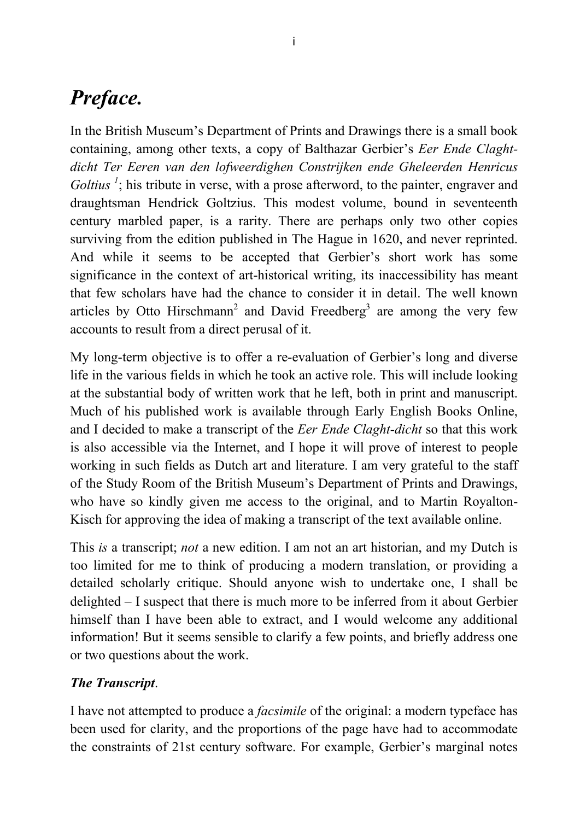# *Preface.*

In the British Museum's Department of Prints and Drawings there is a small book containing, among other texts, a copy of Balthazar Gerbier's *Eer Ende Claghtdicht Ter Eeren van den lofweerdighen Constrijken ende Gheleerden Henricus Goltius*<sup>1</sup>; his tribute in verse, with a prose afterword, to the painter, engraver and draughtsman Hendrick Goltzius. This modest volume, bound in seventeenth century marbled paper, is a rarity. There are perhaps only two other copies surviving from the edition published in The Hague in 1620, and never reprinted. And while it seems to be accepted that Gerbier's short work has some significance in the context of art-historical writing, its inaccessibility has meant that few scholars have had the chance to consider it in detail. The well known articles by Otto Hirschmann<sup>2</sup> and David Freedberg<sup>3</sup> are among the very few accounts to result from a direct perusal of it.

My long-term objective is to offer a re-evaluation of Gerbier's long and diverse life in the various fields in which he took an active role. This will include looking at the substantial body of written work that he left, both in print and manuscript. Much of his published work is available through Early English Books Online, and I decided to make a transcript of the *Eer Ende Claght-dicht* so that this work is also accessible via the Internet, and I hope it will prove of interest to people working in such fields as Dutch art and literature. I am very grateful to the staff of the Study Room of the British Museum's Department of Prints and Drawings, who have so kindly given me access to the original, and to Martin Royalton-Kisch for approving the idea of making a transcript of the text available online.

This *is* a transcript; *not* a new edition. I am not an art historian, and my Dutch is too limited for me to think of producing a modern translation, or providing a detailed scholarly critique. Should anyone wish to undertake one, I shall be delighted – I suspect that there is much more to be inferred from it about Gerbier himself than I have been able to extract, and I would welcome any additional information! But it seems sensible to clarify a few points, and briefly address one or two questions about the work.

# *The Transcript*.

I have not attempted to produce a *facsimile* of the original: a modern typeface has been used for clarity, and the proportions of the page have had to accommodate the constraints of 21st century software. For example, Gerbier's marginal notes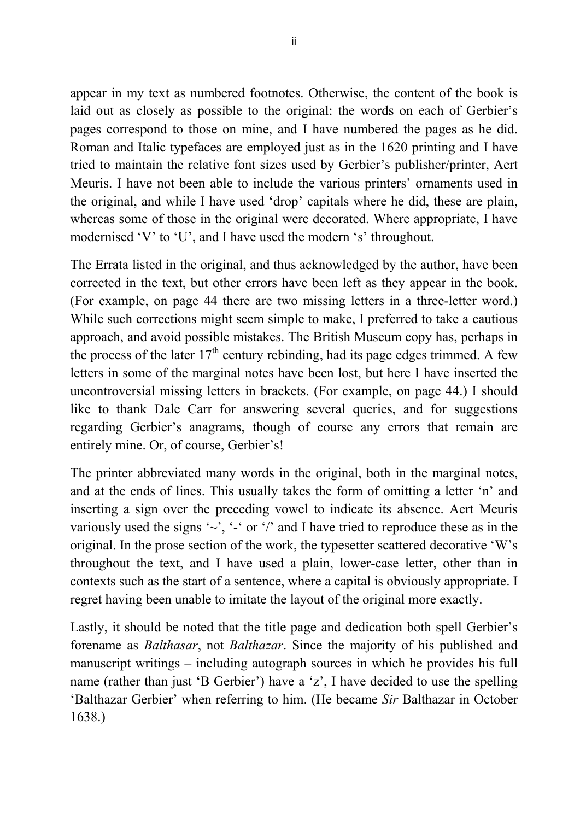appear in my text as numbered footnotes. Otherwise, the content of the book is laid out as closely as possible to the original: the words on each of Gerbier's pages correspond to those on mine, and I have numbered the pages as he did. Roman and Italic typefaces are employed just as in the 1620 printing and I have tried to maintain the relative font sizes used by Gerbier's publisher/printer, Aert Meuris. I have not been able to include the various printers' ornaments used in the original, and while I have used 'drop' capitals where he did, these are plain, whereas some of those in the original were decorated. Where appropriate, I have modernised 'V' to 'U', and I have used the modern 's' throughout.

The Errata listed in the original, and thus acknowledged by the author, have been corrected in the text, but other errors have been left as they appear in the book. (For example, on page 44 there are two missing letters in a three-letter word.) While such corrections might seem simple to make, I preferred to take a cautious approach, and avoid possible mistakes. The British Museum copy has, perhaps in the process of the later  $17<sup>th</sup>$  century rebinding, had its page edges trimmed. A few letters in some of the marginal notes have been lost, but here I have inserted the uncontroversial missing letters in brackets. (For example, on page 44.) I should like to thank Dale Carr for answering several queries, and for suggestions regarding Gerbier's anagrams, though of course any errors that remain are entirely mine. Or, of course, Gerbier's!

The printer abbreviated many words in the original, both in the marginal notes, and at the ends of lines. This usually takes the form of omitting a letter 'n' and inserting a sign over the preceding vowel to indicate its absence. Aert Meuris variously used the signs ' $\sim$ ', '-' or '/' and I have tried to reproduce these as in the original. In the prose section of the work, the typesetter scattered decorative 'W's throughout the text, and I have used a plain, lower-case letter, other than in contexts such as the start of a sentence, where a capital is obviously appropriate. I regret having been unable to imitate the layout of the original more exactly.

Lastly, it should be noted that the title page and dedication both spell Gerbier's forename as *Balthasar*, not *Balthazar*. Since the majority of his published and manuscript writings – including autograph sources in which he provides his full name (rather than just 'B Gerbier') have a 'z', I have decided to use the spelling 'Balthazar Gerbier' when referring to him. (He became *Sir* Balthazar in October 1638.)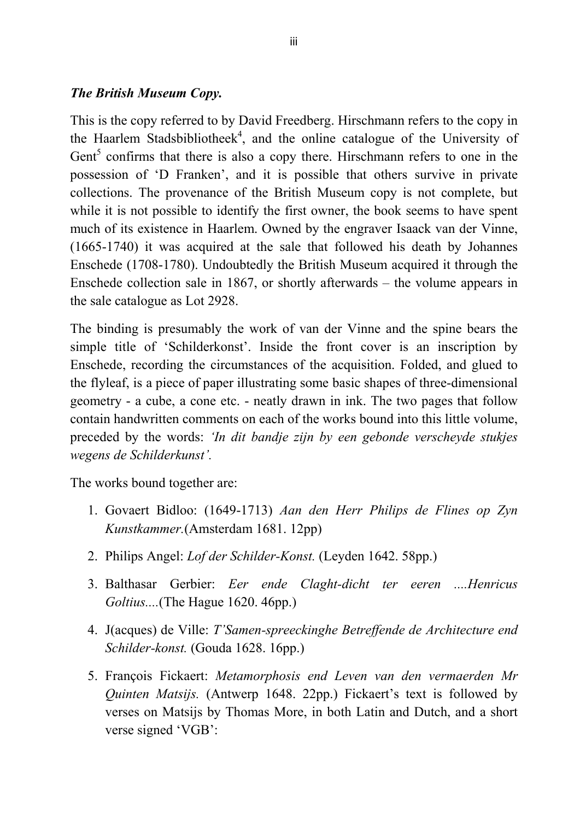## *The British Museum Copy.*

This is the copy referred to by David Freedberg. Hirschmann refers to the copy in the Haarlem Stadsbibliotheek<sup>4</sup>, and the online catalogue of the University of Gent<sup>5</sup> confirms that there is also a copy there. Hirschmann refers to one in the possession of 'D Franken', and it is possible that others survive in private collections. The provenance of the British Museum copy is not complete, but while it is not possible to identify the first owner, the book seems to have spent much of its existence in Haarlem. Owned by the engraver Isaack van der Vinne, (1665-1740) it was acquired at the sale that followed his death by Johannes Enschede (1708-1780). Undoubtedly the British Museum acquired it through the Enschede collection sale in 1867, or shortly afterwards – the volume appears in the sale catalogue as Lot 2928.

The binding is presumably the work of van der Vinne and the spine bears the simple title of 'Schilderkonst'. Inside the front cover is an inscription by Enschede, recording the circumstances of the acquisition. Folded, and glued to the flyleaf, is a piece of paper illustrating some basic shapes of three-dimensional geometry - a cube, a cone etc. - neatly drawn in ink. The two pages that follow contain handwritten comments on each of the works bound into this little volume, preceded by the words: *'In dit bandje zijn by een gebonde verscheyde stukjes wegens de Schilderkunst'.*

The works bound together are:

- 1. Govaert Bidloo: (1649-1713) *Aan den Herr Philips de Flines op Zyn Kunstkammer.*(Amsterdam 1681. 12pp)
- 2. Philips Angel: *Lof der Schilder-Konst.* (Leyden 1642. 58pp.)
- 3. Balthasar Gerbier: *Eer ende Claght-dicht ter eeren ....Henricus Goltius....*(The Hague 1620. 46pp.)
- 4. J(acques) de Ville: *T'Samen-spreeckinghe Betreffende de Architecture end Schilder-konst.* (Gouda 1628. 16pp.)
- 5. François Fickaert: *Metamorphosis end Leven van den vermaerden Mr Quinten Matsijs.* (Antwerp 1648. 22pp.) Fickaert's text is followed by verses on Matsijs by Thomas More, in both Latin and Dutch, and a short verse signed 'VGB':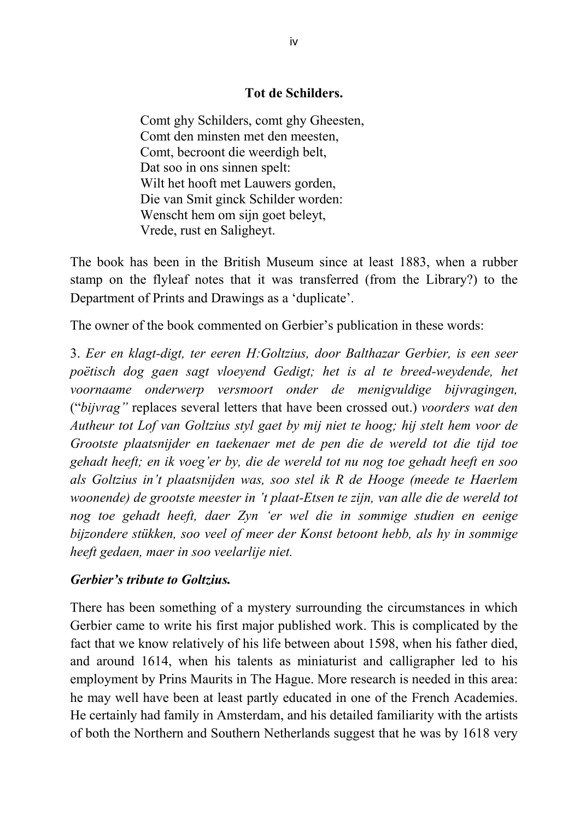## **Tot de Schilders.**

Comt ghy Schilders, comt ghy Gheesten, Comt den minsten met den meesten, Comt, becroont die weerdigh belt, Dat soo in ons sinnen spelt: Wilt het hooft met Lauwers gorden, Die van Smit ginck Schilder worden: Wenscht hem om sijn goet beleyt, Vrede, rust en Saligheyt.

The book has been in the British Museum since at least 1883, when a rubber stamp on the flyleaf notes that it was transferred (from the Library?) to the Department of Prints and Drawings as a 'duplicate'.

The owner of the book commented on Gerbier's publication in these words:

3. *Eer en klagt-digt, ter eeren H:Goltzius, door Balthazar Gerbier, is een seer poëtisch dog gaen sagt vloeyend Gedigt; het is al te breed-weydende, het voornaame onderwerp versmoort onder de menigvuldige bijvragingen,* ("*bijvrag"* replaces several letters that have been crossed out.) *voorders wat den Autheur tot Lof van Goltzius styl gaet by mij niet te hoog; hij stelt hem voor de Grootste plaatsnijder en taekenaer met de pen die de wereld tot die tijd toe gehadt heeft; en ik voeg'er by, die de wereld tot nu nog toe gehadt heeft en soo als Goltzius in't plaatsnijden was, soo stel ik R de Hooge (meede te Haerlem woonende) de grootste meester in 't plaat-Etsen te zijn, van alle die de wereld tot nog toe gehadt heeft, daer Zyn 'er wel die in sommige studien en eenige bijzondere stükken, soo veel of meer der Konst betoont hebb, als hy in sommige heeft gedaen, maer in soo veelarlije niet.*

## *Gerbier's tribute to Goltzius.*

There has been something of a mystery surrounding the circumstances in which Gerbier came to write his first major published work. This is complicated by the fact that we know relatively of his life between about 1598, when his father died, and around 1614, when his talents as miniaturist and calligrapher led to his employment by Prins Maurits in The Hague. More research is needed in this area: he may well have been at least partly educated in one of the French Academies. He certainly had family in Amsterdam, and his detailed familiarity with the artists of both the Northern and Southern Netherlands suggest that he was by 1618 very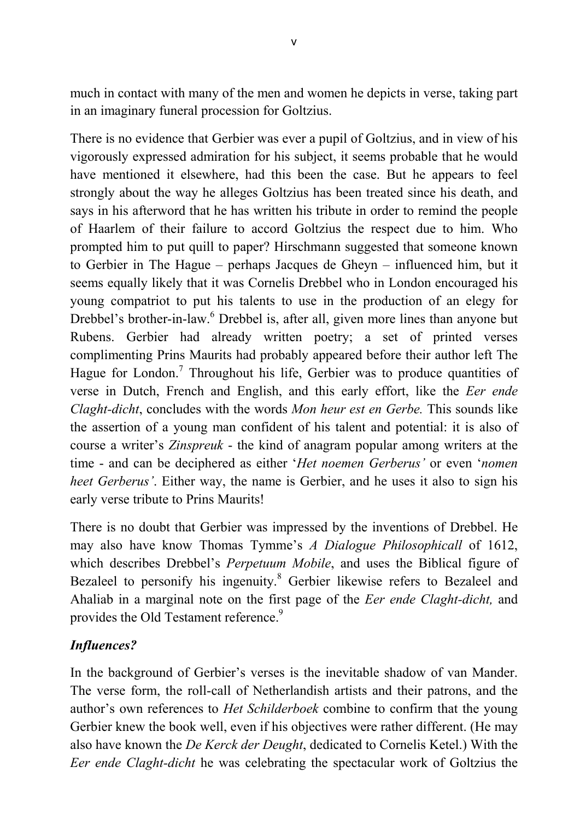much in contact with many of the men and women he depicts in verse, taking part in an imaginary funeral procession for Goltzius.

There is no evidence that Gerbier was ever a pupil of Goltzius, and in view of his vigorously expressed admiration for his subject, it seems probable that he would have mentioned it elsewhere, had this been the case. But he appears to feel strongly about the way he alleges Goltzius has been treated since his death, and says in his afterword that he has written his tribute in order to remind the people of Haarlem of their failure to accord Goltzius the respect due to him. Who prompted him to put quill to paper? Hirschmann suggested that someone known to Gerbier in The Hague – perhaps Jacques de Gheyn – influenced him, but it seems equally likely that it was Cornelis Drebbel who in London encouraged his young compatriot to put his talents to use in the production of an elegy for Drebbel's brother-in-law.<sup>6</sup> Drebbel is, after all, given more lines than anyone but Rubens. Gerbier had already written poetry; a set of printed verses complimenting Prins Maurits had probably appeared before their author left The Hague for London.<sup>7</sup> Throughout his life, Gerbier was to produce quantities of verse in Dutch, French and English, and this early effort, like the *Eer ende Claght-dicht*, concludes with the words *Mon heur est en Gerbe.* This sounds like the assertion of a young man confident of his talent and potential: it is also of course a writer's *Zinspreuk* - the kind of anagram popular among writers at the time - and can be deciphered as either '*Het noemen Gerberus'* or even '*nomen heet Gerberus'*. Either way, the name is Gerbier, and he uses it also to sign his early verse tribute to Prins Maurits!

There is no doubt that Gerbier was impressed by the inventions of Drebbel. He may also have know Thomas Tymme's *A Dialogue Philosophicall* of 1612, which describes Drebbel's *Perpetuum Mobile*, and uses the Biblical figure of Bezaleel to personify his ingenuity.<sup>8</sup> Gerbier likewise refers to Bezaleel and Ahaliab in a marginal note on the first page of the *Eer ende Claght-dicht,* and provides the Old Testament reference.<sup>9</sup>

# *Influences?*

In the background of Gerbier's verses is the inevitable shadow of van Mander. The verse form, the roll-call of Netherlandish artists and their patrons, and the author's own references to *Het Schilderboek* combine to confirm that the young Gerbier knew the book well, even if his objectives were rather different. (He may also have known the *De Kerck der Deught*, dedicated to Cornelis Ketel.) With the *Eer ende Claght-dicht* he was celebrating the spectacular work of Goltzius the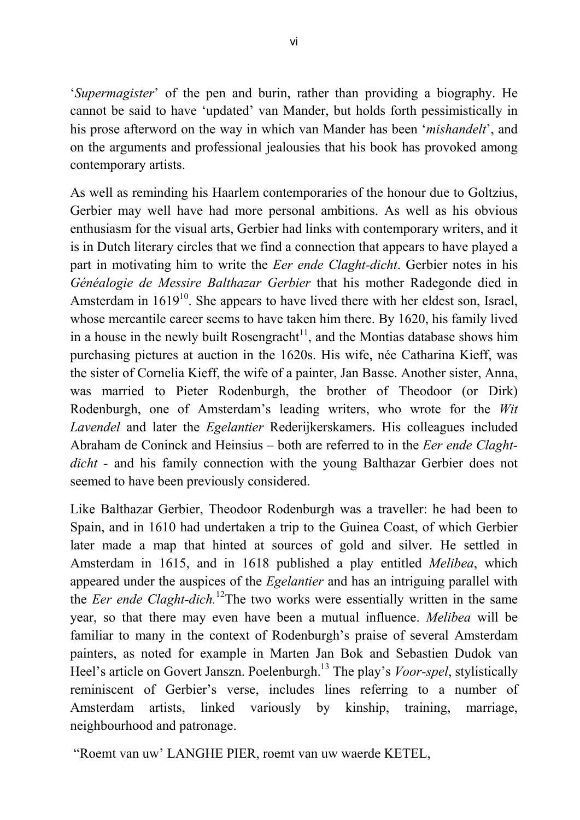'*Supermagister*' of the pen and burin, rather than providing a biography. He cannot be said to have 'updated' van Mander, but holds forth pessimistically in his prose afterword on the way in which van Mander has been '*mishandelt*', and on the arguments and professional jealousies that his book has provoked among contemporary artists.

As well as reminding his Haarlem contemporaries of the honour due to Goltzius, Gerbier may well have had more personal ambitions. As well as his obvious enthusiasm for the visual arts, Gerbier had links with contemporary writers, and it is in Dutch literary circles that we find a connection that appears to have played a part in motivating him to write the *Eer ende Claght-dicht*. Gerbier notes in his *Généalogie de Messire Balthazar Gerbier* that his mother Radegonde died in Amsterdam in  $1619^{10}$ . She appears to have lived there with her eldest son, Israel, whose mercantile career seems to have taken him there. By 1620, his family lived in a house in the newly built Rosengracht<sup>11</sup>, and the Montias database shows him purchasing pictures at auction in the 1620s. His wife, née Catharina Kieff, was the sister of Cornelia Kieff, the wife of a painter, Jan Basse. Another sister, Anna, was married to Pieter Rodenburgh, the brother of Theodoor (or Dirk) Rodenburgh, one of Amsterdam's leading writers, who wrote for the *Wit Lavendel* and later the *Egelantier* Rederijkerskamers. His colleagues included Abraham de Coninck and Heinsius – both are referred to in the *Eer ende Claghtdicht -* and his family connection with the young Balthazar Gerbier does not seemed to have been previously considered.

Like Balthazar Gerbier, Theodoor Rodenburgh was a traveller: he had been to Spain, and in 1610 had undertaken a trip to the Guinea Coast, of which Gerbier later made a map that hinted at sources of gold and silver. He settled in Amsterdam in 1615, and in 1618 published a play entitled *Melibea*, which appeared under the auspices of the *Egelantier* and has an intriguing parallel with the *Eer ende Claght-dich*.<sup>12</sup>The two works were essentially written in the same year, so that there may even have been a mutual influence. *Melibea* will be familiar to many in the context of Rodenburgh's praise of several Amsterdam painters, as noted for example in Marten Jan Bok and Sebastien Dudok van Heel's article on Govert Janszn. Poelenburgh.<sup>13</sup> The play's *Voor-spel*, stylistically reminiscent of Gerbier's verse, includes lines referring to a number of Amsterdam artists, linked variously by kinship, training, marriage, neighbourhood and patronage.

"Roemt van uw' LANGHE PIER, roemt van uw waerde KETEL,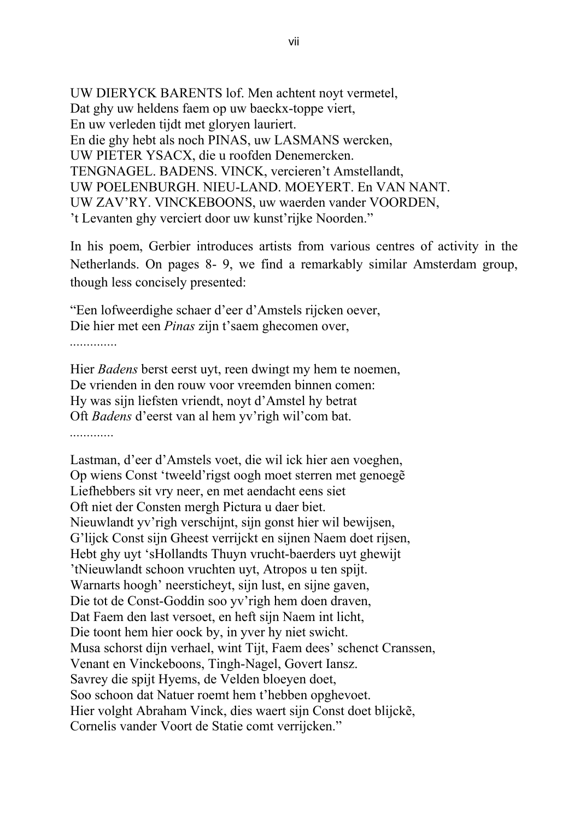UW DIERYCK BARENTS lof. Men achtent noyt vermetel, Dat ghy uw heldens faem op uw baeckx-toppe viert, En uw verleden tijdt met gloryen lauriert. En die ghy hebt als noch PINAS, uw LASMANS wercken, UW PIETER YSACX, die u roofden Denemercken. TENGNAGEL. BADENS. VINCK, vercieren't Amstellandt, UW POELENBURGH. NIEU-LAND. MOEYERT. En VAN NANT. UW ZAV'RY. VINCKEBOONS, uw waerden vander VOORDEN, 't Levanten ghy verciert door uw kunst'rijke Noorden."

In his poem, Gerbier introduces artists from various centres of activity in the Netherlands. On pages 8- 9, we find a remarkably similar Amsterdam group, though less concisely presented:

"Een lofweerdighe schaer d'eer d'Amstels rijcken oever, Die hier met een *Pinas* zijn t'saem ghecomen over,

*..............*

Hier *Badens* berst eerst uyt, reen dwingt my hem te noemen, De vrienden in den rouw voor vreemden binnen comen: Hy was sijn liefsten vriendt, noyt d'Amstel hy betrat Oft *Badens* d'eerst van al hem yv'righ wil'com bat. *.............*

Lastman, d'eer d'Amstels voet, die wil ick hier aen voeghen, Op wiens Const 'tweeld'rigst oogh moet sterren met genoegẽ Liefhebbers sit vry neer, en met aendacht eens siet Oft niet der Consten mergh Pictura u daer biet. Nieuwlandt yv'righ verschijnt, sijn gonst hier wil bewijsen, G'lijck Const sijn Gheest verrijckt en sijnen Naem doet rijsen, Hebt ghy uyt 'sHollandts Thuyn vrucht-baerders uyt ghewijt 'tNieuwlandt schoon vruchten uyt, Atropos u ten spijt. Warnarts hoogh' neersticheyt, sijn lust, en sijne gaven, Die tot de Const-Goddin soo yv'righ hem doen draven, Dat Faem den last versoet, en heft sijn Naem int licht, Die toont hem hier oock by, in yver hy niet swicht. Musa schorst dijn verhael, wint Tijt, Faem dees' schenct Cranssen, Venant en Vinckeboons, Tingh-Nagel, Govert Iansz. Savrey die spijt Hyems, de Velden bloeyen doet, Soo schoon dat Natuer roemt hem t'hebben opghevoet. Hier volght Abraham Vinck, dies waert sijn Const doet blijckẽ, Cornelis vander Voort de Statie comt verrijcken."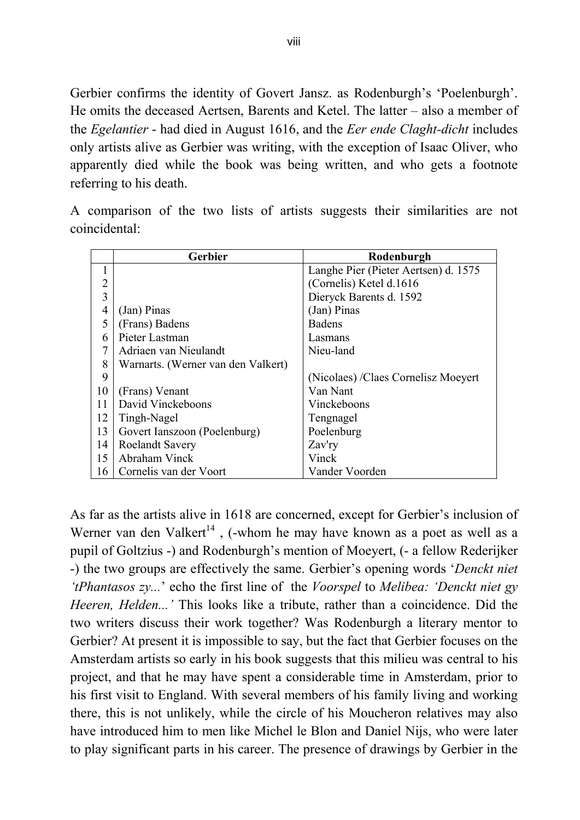Gerbier confirms the identity of Govert Jansz. as Rodenburgh's 'Poelenburgh'. He omits the deceased Aertsen, Barents and Ketel. The latter – also a member of the *Egelantier* - had died in August 1616, and the *Eer ende Claght-dicht* includes only artists alive as Gerbier was writing, with the exception of Isaac Oliver, who apparently died while the book was being written, and who gets a footnote referring to his death.

A comparison of the two lists of artists suggests their similarities are not coincidental:

|                | <b>Gerbier</b>                     | Rodenburgh                           |
|----------------|------------------------------------|--------------------------------------|
|                |                                    | Langhe Pier (Pieter Aertsen) d. 1575 |
| 2              |                                    | (Cornelis) Ketel d.1616              |
| 3              |                                    | Dieryck Barents d. 1592              |
| $\overline{4}$ | (Jan) Pinas                        | (Jan) Pinas                          |
| 5              | (Frans) Badens                     | <b>Badens</b>                        |
| 6              | Pieter Lastman                     | Lasmans                              |
| 7              | Adriaen van Nieulandt              | Nieu-land                            |
| 8              | Warnarts. (Werner van den Valkert) |                                      |
| 9              |                                    | (Nicolaes) / Claes Cornelisz Moeyert |
| 10             | (Frans) Venant                     | Van Nant                             |
| 11             | David Vinckeboons                  | Vinckeboons                          |
| 12             | Tingh-Nagel                        | Tengnagel                            |
| 13             | Govert Ianszoon (Poelenburg)       | Poelenburg                           |
| 14             | <b>Roelandt Savery</b>             | Zav'ry                               |
| 15             | Abraham Vinck                      | Vinck                                |
| 16             | Cornelis van der Voort             | Vander Voorden                       |

As far as the artists alive in 1618 are concerned, except for Gerbier's inclusion of Werner van den Valkert<sup>14</sup>, (-whom he may have known as a poet as well as a pupil of Goltzius -) and Rodenburgh's mention of Moeyert, (- a fellow Rederijker -) the two groups are effectively the same. Gerbier's opening words '*Denckt niet 'tPhantasos zy...*' echo the first line of the *Voorspel* to *Melibea: 'Denckt niet gy Heeren, Helden...'* This looks like a tribute, rather than a coincidence. Did the two writers discuss their work together? Was Rodenburgh a literary mentor to Gerbier? At present it is impossible to say, but the fact that Gerbier focuses on the Amsterdam artists so early in his book suggests that this milieu was central to his project, and that he may have spent a considerable time in Amsterdam, prior to his first visit to England. With several members of his family living and working there, this is not unlikely, while the circle of his Moucheron relatives may also have introduced him to men like Michel le Blon and Daniel Nijs, who were later to play significant parts in his career. The presence of drawings by Gerbier in the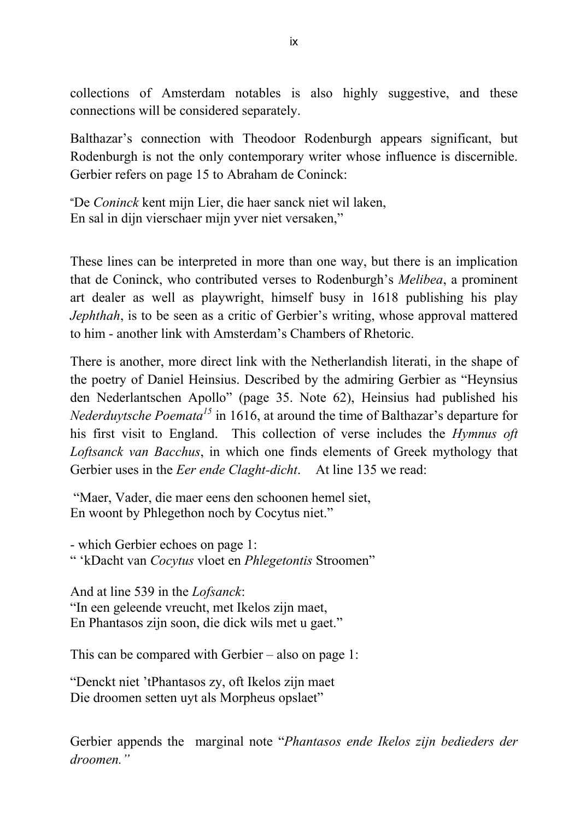collections of Amsterdam notables is also highly suggestive, and these connections will be considered separately.

Balthazar's connection with Theodoor Rodenburgh appears significant, but Rodenburgh is not the only contemporary writer whose influence is discernible. Gerbier refers on page 15 to Abraham de Coninck:

"De *Coninck* kent mijn Lier, die haer sanck niet wil laken, En sal in dijn vierschaer mijn yver niet versaken,"

These lines can be interpreted in more than one way, but there is an implication that de Coninck, who contributed verses to Rodenburgh's *Melibea*, a prominent art dealer as well as playwright, himself busy in 1618 publishing his play *Jephthah*, is to be seen as a critic of Gerbier's writing, whose approval mattered to him - another link with Amsterdam's Chambers of Rhetoric.

There is another, more direct link with the Netherlandish literati, in the shape of the poetry of Daniel Heinsius. Described by the admiring Gerbier as "Heynsius den Nederlantschen Apollo" (page 35. Note 62), Heinsius had published his *Nederduytsche Poemata<sup>15</sup>* in 1616, at around the time of Balthazar's departure for his first visit to England. This collection of verse includes the *Hymnus oft Loftsanck van Bacchus*, in which one finds elements of Greek mythology that Gerbier uses in the *Eer ende Claght-dicht*. At line 135 we read:

"Maer, Vader, die maer eens den schoonen hemel siet, En woont by Phlegethon noch by Cocytus niet."

- which Gerbier echoes on page 1: " 'kDacht van *Cocytus* vloet en *Phlegetontis* Stroomen"

And at line 539 in the *Lofsanck*: "In een geleende vreucht, met Ikelos zijn maet, En Phantasos zijn soon, die dick wils met u gaet."

This can be compared with Gerbier – also on page 1:

"Denckt niet 'tPhantasos zy, oft Ikelos zijn maet Die droomen setten uyt als Morpheus opslaet"

Gerbier appends the marginal note "*Phantasos ende Ikelos zijn bedieders der droomen."*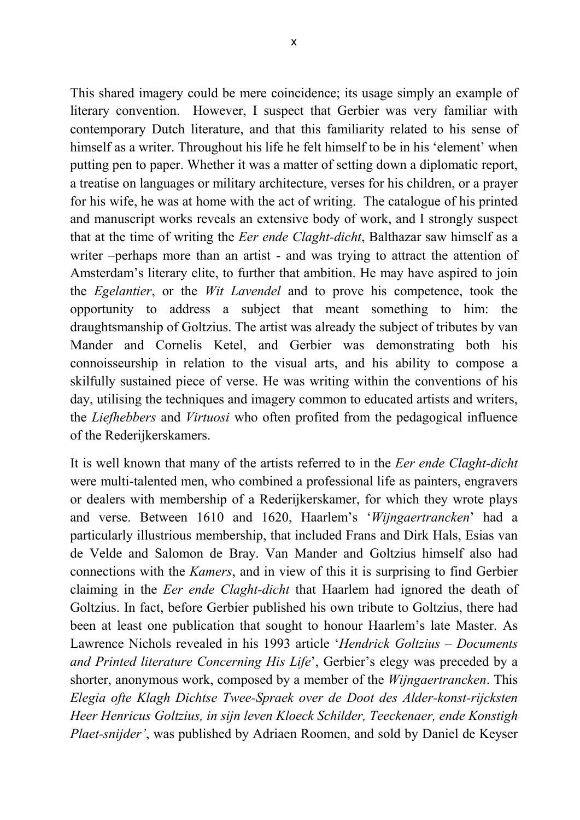This shared imagery could be mere coincidence; its usage simply an example of literary convention. However, I suspect that Gerbier was very familiar with contemporary Dutch literature, and that this familiarity related to his sense of himself as a writer. Throughout his life he felt himself to be in his 'element' when putting pen to paper. Whether it was a matter of setting down a diplomatic report, a treatise on languages or military architecture, verses for his children, or a prayer for his wife, he was at home with the act of writing. The catalogue of his printed and manuscript works reveals an extensive body of work, and I strongly suspect that at the time of writing the *Eer ende Claght-dicht*, Balthazar saw himself as a writer –perhaps more than an artist - and was trying to attract the attention of Amsterdam's literary elite, to further that ambition. He may have aspired to join the *Egelantier*, or the *Wit Lavendel* and to prove his competence, took the opportunity to address a subject that meant something to him: the draughtsmanship of Goltzius. The artist was already the subject of tributes by van Mander and Cornelis Ketel, and Gerbier was demonstrating both his connoisseurship in relation to the visual arts, and his ability to compose a skilfully sustained piece of verse. He was writing within the conventions of his day, utilising the techniques and imagery common to educated artists and writers, the *Liefhebbers* and *Virtuosi* who often profited from the pedagogical influence of the Rederijkerskamers.

It is well known that many of the artists referred to in the *Eer ende Claght-dicht* were multi-talented men, who combined a professional life as painters, engravers or dealers with membership of a Rederijkerskamer, for which they wrote plays and verse. Between 1610 and 1620, Haarlem's '*Wijngaertrancken*' had a particularly illustrious membership, that included Frans and Dirk Hals, Esias van de Velde and Salomon de Bray. Van Mander and Goltzius himself also had connections with the *Kamers*, and in view of this it is surprising to find Gerbier claiming in the *Eer ende Claght-dicht* that Haarlem had ignored the death of Goltzius. In fact, before Gerbier published his own tribute to Goltzius, there had been at least one publication that sought to honour Haarlem's late Master. As Lawrence Nichols revealed in his 1993 article '*Hendrick Goltzius – Documents and Printed literature Concerning His Life*', Gerbier's elegy was preceded by a shorter, anonymous work, composed by a member of the *Wijngaertrancken*. This *Elegia ofte Klagh Dichtse Twee-Spraek over de Doot des Alder-konst-rijcksten Heer Henricus Goltzius, in sijn leven Kloeck Schilder, Teeckenaer, ende Konstigh Plaet-snijder'*, was published by Adriaen Roomen, and sold by Daniel de Keyser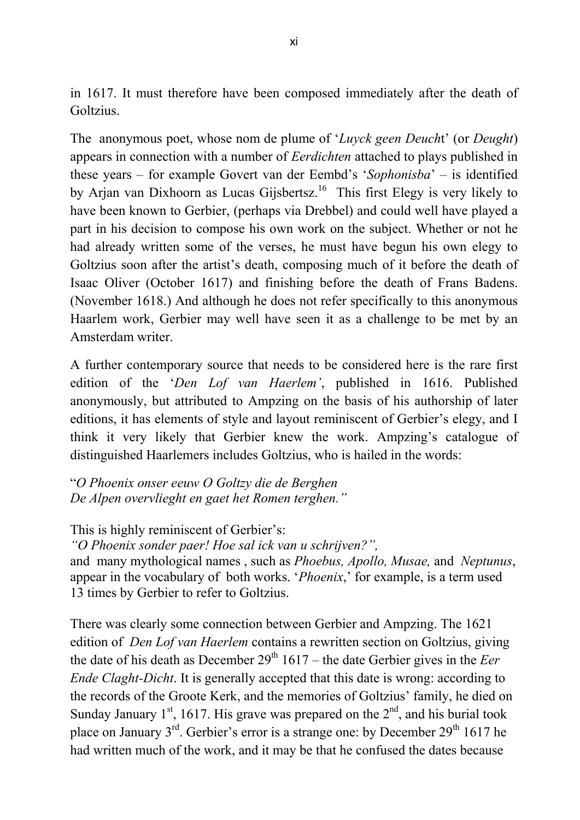in 1617. It must therefore have been composed immediately after the death of Goltzius.

The anonymous poet, whose nom de plume of '*Luyck geen Deuch*t' (or *Deught*) appears in connection with a number of *Eerdichten* attached to plays published in these years – for example Govert van der Eembd's '*Sophonisba*' – is identified by Arjan van Dixhoorn as Lucas Gijsbertsz. 16 This first Elegy is very likely to have been known to Gerbier, (perhaps via Drebbel) and could well have played a part in his decision to compose his own work on the subject. Whether or not he had already written some of the verses, he must have begun his own elegy to Goltzius soon after the artist's death, composing much of it before the death of Isaac Oliver (October 1617) and finishing before the death of Frans Badens. (November 1618.) And although he does not refer specifically to this anonymous Haarlem work, Gerbier may well have seen it as a challenge to be met by an Amsterdam writer.

A further contemporary source that needs to be considered here is the rare first edition of the '*Den Lof van Haerlem'*, published in 1616. Published anonymously, but attributed to Ampzing on the basis of his authorship of later editions, it has elements of style and layout reminiscent of Gerbier's elegy, and I think it very likely that Gerbier knew the work. Ampzing's catalogue of distinguished Haarlemers includes Goltzius, who is hailed in the words:

"*O Phoenix onser eeuw O Goltzy die de Berghen De Alpen overvlieght en gaet het Romen terghen."*

This is highly reminiscent of Gerbier's: *"O Phoenix sonder paer! Hoe sal ick van u schrijven?",* and many mythological names , such as *Phoebus, Apollo, Musae,* and *Neptunus*, appear in the vocabulary of both works. '*Phoenix*,' for example, is a term used 13 times by Gerbier to refer to Goltzius.

There was clearly some connection between Gerbier and Ampzing. The 1621 edition of *Den Lof van Haerlem* contains a rewritten section on Goltzius, giving the date of his death as December  $29<sup>th</sup> 1617$  – the date Gerbier gives in the *Eer Ende Claght-Dicht*. It is generally accepted that this date is wrong: according to the records of the Groote Kerk, and the memories of Goltzius' family, he died on Sunday January  $1<sup>st</sup>$ , 1617. His grave was prepared on the  $2<sup>nd</sup>$ , and his burial took place on January  $3^{rd}$ . Gerbier's error is a strange one: by December  $29^{th}$  1617 he had written much of the work, and it may be that he confused the dates because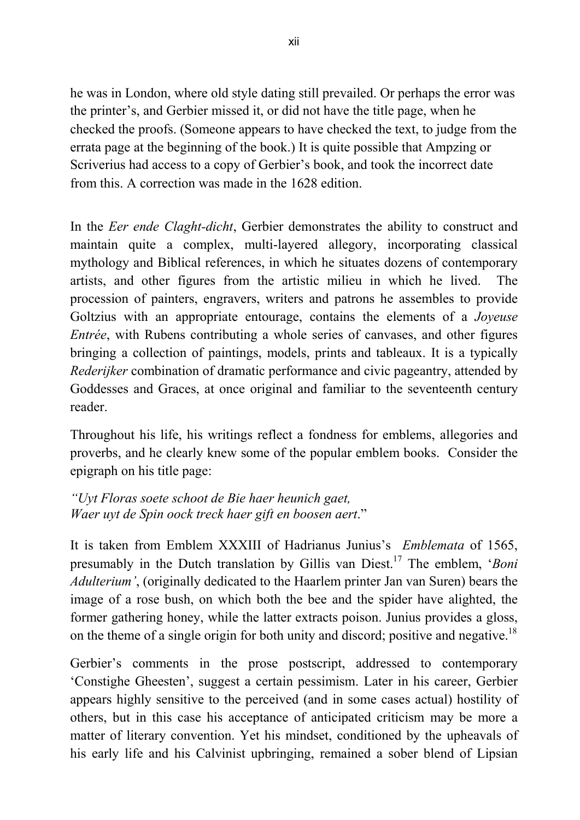he was in London, where old style dating still prevailed. Or perhaps the error was the printer's, and Gerbier missed it, or did not have the title page, when he checked the proofs. (Someone appears to have checked the text, to judge from the errata page at the beginning of the book.) It is quite possible that Ampzing or Scriverius had access to a copy of Gerbier's book, and took the incorrect date from this. A correction was made in the 1628 edition.

In the *Eer ende Claght-dicht*, Gerbier demonstrates the ability to construct and maintain quite a complex, multi-layered allegory, incorporating classical mythology and Biblical references, in which he situates dozens of contemporary artists, and other figures from the artistic milieu in which he lived. The procession of painters, engravers, writers and patrons he assembles to provide Goltzius with an appropriate entourage, contains the elements of a *Joyeuse Entrée*, with Rubens contributing a whole series of canvases, and other figures bringing a collection of paintings, models, prints and tableaux. It is a typically *Rederijker* combination of dramatic performance and civic pageantry, attended by Goddesses and Graces, at once original and familiar to the seventeenth century reader.

Throughout his life, his writings reflect a fondness for emblems, allegories and proverbs, and he clearly knew some of the popular emblem books. Consider the epigraph on his title page:

*"Uyt Floras soete schoot de Bie haer heunich gaet, Waer uyt de Spin oock treck haer gift en boosen aert*."

It is taken from Emblem XXXIII of Hadrianus Junius's *Emblemata* of 1565, presumably in the Dutch translation by Gillis van Diest.<sup>17</sup> The emblem, '*Boni Adulterium'*, (originally dedicated to the Haarlem printer Jan van Suren) bears the image of a rose bush, on which both the bee and the spider have alighted, the former gathering honey, while the latter extracts poison. Junius provides a gloss, on the theme of a single origin for both unity and discord; positive and negative.<sup>18</sup>

Gerbier's comments in the prose postscript, addressed to contemporary 'Constighe Gheesten', suggest a certain pessimism. Later in his career, Gerbier appears highly sensitive to the perceived (and in some cases actual) hostility of others, but in this case his acceptance of anticipated criticism may be more a matter of literary convention. Yet his mindset, conditioned by the upheavals of his early life and his Calvinist upbringing, remained a sober blend of Lipsian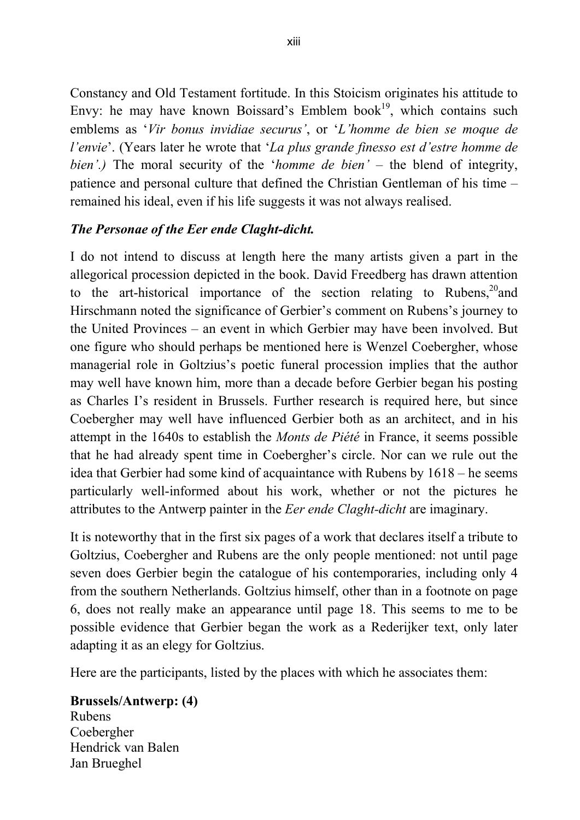Constancy and Old Testament fortitude. In this Stoicism originates his attitude to Envy: he may have known Boissard's Emblem book<sup>19</sup>, which contains such emblems as '*Vir bonus invidiae securus'*, or '*L'homme de bien se moque de l'envie*'. (Years later he wrote that '*La plus grande finesso est d'estre homme de bien'.)* The moral security of the '*homme de bien'* – the blend of integrity, patience and personal culture that defined the Christian Gentleman of his time – remained his ideal, even if his life suggests it was not always realised.

## *The Personae of the Eer ende Claght-dicht.*

I do not intend to discuss at length here the many artists given a part in the allegorical procession depicted in the book. David Freedberg has drawn attention to the art-historical importance of the section relating to Rubens,<sup>20</sup>and Hirschmann noted the significance of Gerbier's comment on Rubens's journey to the United Provinces – an event in which Gerbier may have been involved. But one figure who should perhaps be mentioned here is Wenzel Coebergher, whose managerial role in Goltzius's poetic funeral procession implies that the author may well have known him, more than a decade before Gerbier began his posting as Charles I's resident in Brussels. Further research is required here, but since Coebergher may well have influenced Gerbier both as an architect, and in his attempt in the 1640s to establish the *Monts de Piété* in France, it seems possible that he had already spent time in Coebergher's circle. Nor can we rule out the idea that Gerbier had some kind of acquaintance with Rubens by 1618 – he seems particularly well-informed about his work, whether or not the pictures he attributes to the Antwerp painter in the *Eer ende Claght-dicht* are imaginary.

It is noteworthy that in the first six pages of a work that declares itself a tribute to Goltzius, Coebergher and Rubens are the only people mentioned: not until page seven does Gerbier begin the catalogue of his contemporaries, including only 4 from the southern Netherlands. Goltzius himself, other than in a footnote on page 6, does not really make an appearance until page 18. This seems to me to be possible evidence that Gerbier began the work as a Rederijker text, only later adapting it as an elegy for Goltzius.

Here are the participants, listed by the places with which he associates them:

**Brussels/Antwerp: (4)** Rubens Coebergher Hendrick van Balen Jan Brueghel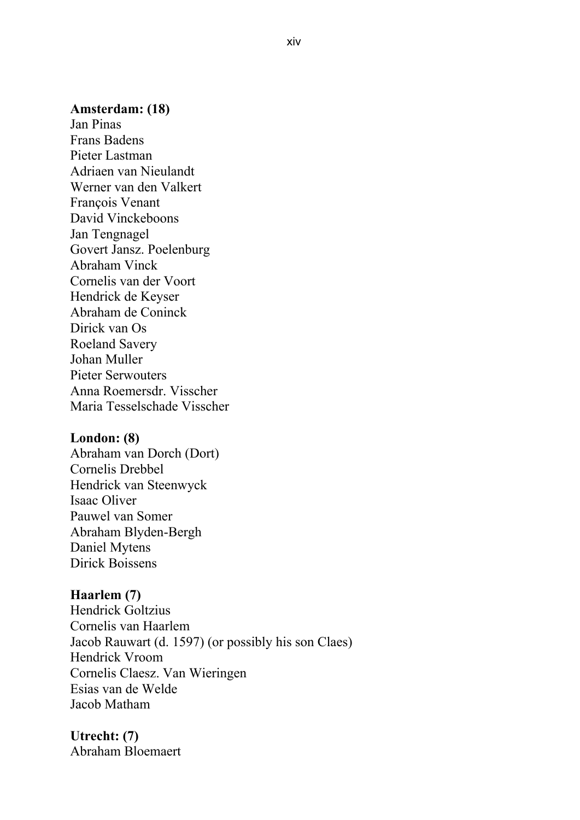#### **Amsterdam: (18)**

Jan Pinas Frans Badens Pieter Lastman Adriaen van Nieulandt Werner van den Valkert François Venant David Vinckeboons Jan Tengnagel Govert Jansz. Poelenburg Abraham Vinck Cornelis van der Voort Hendrick de Keyser Abraham de Coninck Dirick van Os Roeland Savery Johan Muller Pieter Serwouters Anna Roemersdr. Visscher Maria Tesselschade Visscher

#### **London: (8)**

Abraham van Dorch (Dort) Cornelis Drebbel Hendrick van Steenwyck Isaac Oliver Pauwel van Somer Abraham Blyden-Bergh Daniel Mytens Dirick Boissens

#### **Haarlem (7)**

Hendrick Goltzius Cornelis van Haarlem Jacob Rauwart (d. 1597) (or possibly his son Claes) Hendrick Vroom Cornelis Claesz. Van Wieringen Esias van de Welde Jacob Matham

#### **Utrecht: (7)** Abraham Bloemaert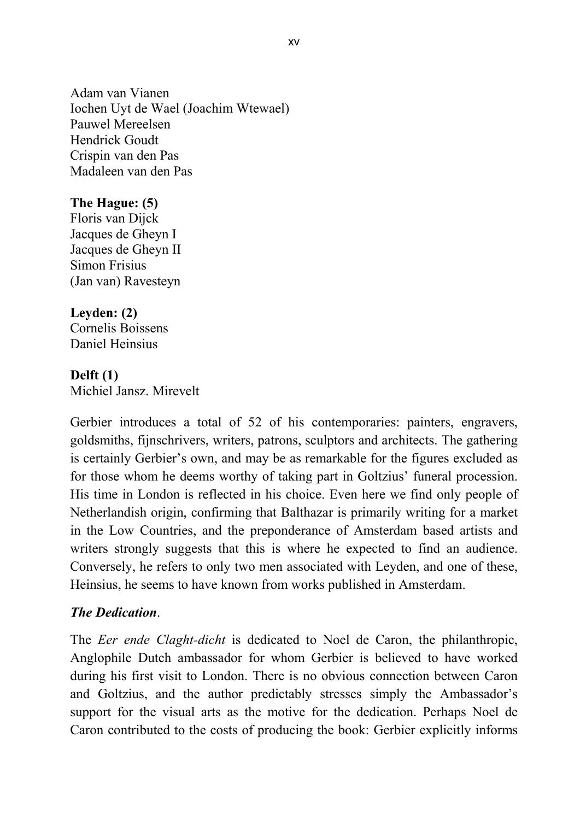Adam van Vianen Iochen Uyt de Wael (Joachim Wtewael) Pauwel Mereelsen Hendrick Goudt Crispin van den Pas Madaleen van den Pas

## **The Hague: (5)**

Floris van Dijck Jacques de Gheyn I Jacques de Gheyn II Simon Frisius (Jan van) Ravesteyn

## **Leyden: (2)**

Cornelis Boissens Daniel Heinsius

## **Delft (1)**

Michiel Jansz. Mirevelt

Gerbier introduces a total of 52 of his contemporaries: painters, engravers, goldsmiths, fijnschrivers, writers, patrons, sculptors and architects. The gathering is certainly Gerbier's own, and may be as remarkable for the figures excluded as for those whom he deems worthy of taking part in Goltzius' funeral procession. His time in London is reflected in his choice. Even here we find only people of Netherlandish origin, confirming that Balthazar is primarily writing for a market in the Low Countries, and the preponderance of Amsterdam based artists and writers strongly suggests that this is where he expected to find an audience. Conversely, he refers to only two men associated with Leyden, and one of these, Heinsius, he seems to have known from works published in Amsterdam.

## *The Dedication*.

The *Eer ende Claght-dicht* is dedicated to Noel de Caron, the philanthropic, Anglophile Dutch ambassador for whom Gerbier is believed to have worked during his first visit to London. There is no obvious connection between Caron and Goltzius, and the author predictably stresses simply the Ambassador's support for the visual arts as the motive for the dedication. Perhaps Noel de Caron contributed to the costs of producing the book: Gerbier explicitly informs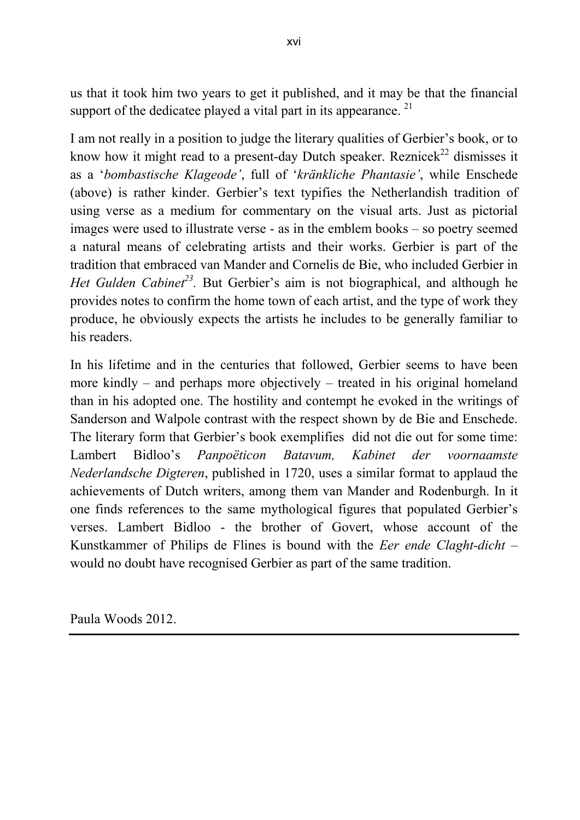us that it took him two years to get it published, and it may be that the financial support of the dedicatee played a vital part in its appearance.<sup>21</sup>

I am not really in a position to judge the literary qualities of Gerbier's book, or to know how it might read to a present-day Dutch speaker. Reznice $k^{22}$  dismisses it as a '*bombastische Klageode'*, full of '*kränkliche Phantasie'*, while Enschede (above) is rather kinder. Gerbier's text typifies the Netherlandish tradition of using verse as a medium for commentary on the visual arts. Just as pictorial images were used to illustrate verse - as in the emblem books – so poetry seemed a natural means of celebrating artists and their works. Gerbier is part of the tradition that embraced van Mander and Cornelis de Bie, who included Gerbier in *Het Gulden Cabinet<sup>23</sup>*. But Gerbier's aim is not biographical, and although he provides notes to confirm the home town of each artist, and the type of work they produce, he obviously expects the artists he includes to be generally familiar to his readers.

In his lifetime and in the centuries that followed, Gerbier seems to have been more kindly – and perhaps more objectively – treated in his original homeland than in his adopted one. The hostility and contempt he evoked in the writings of Sanderson and Walpole contrast with the respect shown by de Bie and Enschede. The literary form that Gerbier's book exemplifies did not die out for some time: Lambert Bidloo's *Panpoëticon Batavum, Kabinet der voornaamste Nederlandsche Digteren*, published in 1720, uses a similar format to applaud the achievements of Dutch writers, among them van Mander and Rodenburgh. In it one finds references to the same mythological figures that populated Gerbier's verses. Lambert Bidloo - the brother of Govert, whose account of the Kunstkammer of Philips de Flines is bound with the *Eer ende Claght-dicht* – would no doubt have recognised Gerbier as part of the same tradition.

Paula Woods 2012.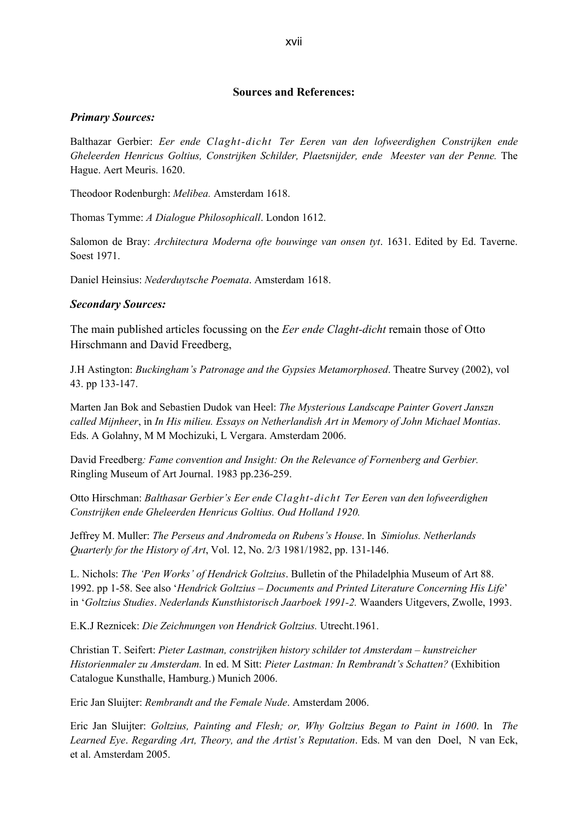#### **Sources and References:**

#### *Primary Sources:*

Balthazar Gerbier: *Eer ende Claght-dicht Ter Eeren van den lofweerdighen Constrijken ende Gheleerden Henricus Goltius, Constrijken Schilder, Plaetsnijder, ende Meester van der Penne.* The Hague. Aert Meuris. 1620.

Theodoor Rodenburgh: *Melibea.* Amsterdam 1618.

Thomas Tymme: *A Dialogue Philosophicall*. London 1612.

Salomon de Bray: *Architectura Moderna ofte bouwinge van onsen tyt*. 1631. Edited by Ed. Taverne. Soest 1971.

Daniel Heinsius: *Nederduytsche Poemata*. Amsterdam 1618.

#### *Secondary Sources:*

The main published articles focussing on the *Eer ende Claght-dicht* remain those of Otto Hirschmann and David Freedberg,

J.H Astington: *Buckingham's Patronage and the Gypsies Metamorphosed*. [Theatre Survey](http://journals.cambridge.org/action/displayAbstract?fromPage=online&aid=130443) (2002), vol 43. pp 133-147.

Marten Jan Bok and Sebastien Dudok van Heel: *The Mysterious Landscape Painter Govert Janszn called Mijnheer*, in *In His milieu. Essays on Netherlandish Art in Memory of John Michael Montias*. Eds. A Golahny, M M Mochizuki, L Vergara. Amsterdam 2006.

David Freedberg*: Fame convention and Insight: On the Relevance of Fornenberg and Gerbier.*  Ringling Museum of Art Journal. 1983 pp.236-259.

Otto Hirschman: *Balthasar Gerbier's Eer ende Claght-dicht Ter Eeren van den lofweerdighen Constrijken ende Gheleerden Henricus Goltius. Oud Holland 1920.*

Jeffrey M. Muller: *The Perseus and Andromeda on Rubens's House*. In *Simiolus. Netherlands Quarterly for the History of Art*, Vol. 12, No. 2/3 1981/1982, pp. 131-146.

L. Nichols: *The 'Pen Works' of Hendrick Goltzius*. Bulletin of the Philadelphia Museum of Art 88. 1992. pp 1-58. See also '*Hendrick Goltzius – Documents and Printed Literature Concerning His Life*' in '*Goltzius Studies*. *Nederlands Kunsthistorisch Jaarboek 1991-2.* Waanders Uitgevers, Zwolle, 1993.

E.K.J Reznicek: *Die Zeichnungen von Hendrick Goltzius.* Utrecht.1961.

Christian T. Seifert: *Pieter Lastman, constrijken history schilder tot Amsterdam – kunstreicher Historienmaler zu Amsterdam.* In ed. M Sitt: *Pieter Lastman: In Rembrandt's Schatten?* (Exhibition Catalogue Kunsthalle, Hamburg.) Munich 2006.

Eric Jan Sluijter: *Rembrandt and the Female Nude*. Amsterdam 2006.

Eric Jan Sluijter: *Goltzius, Painting and Flesh; or, Why Goltzius Began to Paint in 1600*. In *The Learned Eye*. *Regarding Art, Theory, and the Artist's Reputation*. Eds. M van den Doel, N van Eck, et al. Amsterdam 2005.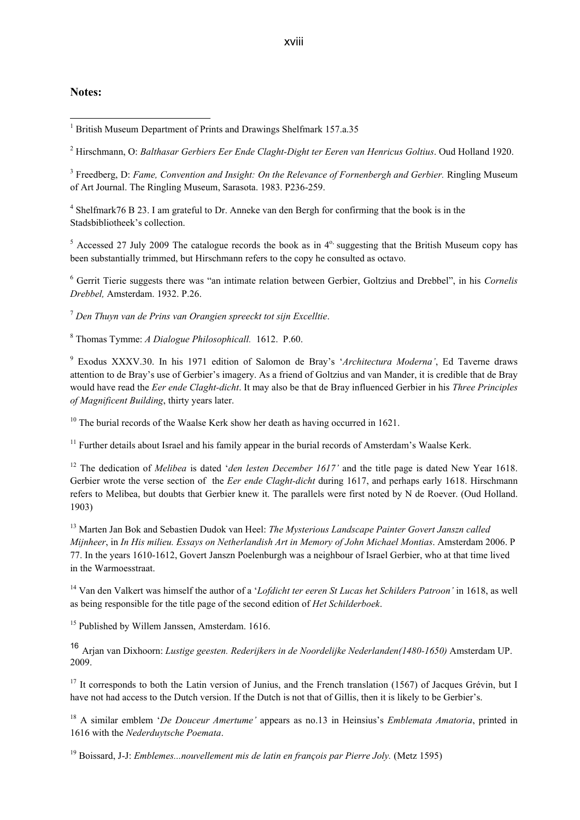#### **Notes:**

1

<sup>2</sup> Hirschmann, O: *Balthasar Gerbiers Eer Ende Claght-Dight ter Eeren van Henricus Goltius*. Oud Holland 1920.

<sup>3</sup> Freedberg, D: *Fame, Convention and Insight: On the Relevance of Fornenbergh and Gerbier. Ringling Museum* of Art Journal. The Ringling Museum, Sarasota. 1983. P236-259.

4 Shelfmark76 B 23. I am grateful to Dr. Anneke van den Bergh for confirming that the book is in the Stadsbibliotheek's collection.

 $5$  Accessed 27 July 2009 The catalogue records the book as in  $4^\circ$ , suggesting that the British Museum copy has been substantially trimmed, but Hirschmann refers to the copy he consulted as octavo.

<sup>6</sup> Gerrit Tierie suggests there was "an intimate relation between Gerbier, Goltzius and Drebbel", in his *Cornelis Drebbel,* Amsterdam. 1932. P.26.

<sup>7</sup> *Den Thuyn van de Prins van Orangien spreeckt tot sijn Excelltie*.

<sup>8</sup> Thomas Tymme: *A Dialogue Philosophicall.* 1612. P.60.

<sup>9</sup> Exodus XXXV.30. In his 1971 edition of Salomon de Bray's '*Architectura Moderna'*, Ed Taverne draws attention to de Bray's use of Gerbier's imagery. As a friend of Goltzius and van Mander, it is credible that de Bray would have read the *Eer ende Claght-dicht*. It may also be that de Bray influenced Gerbier in his *Three Principles of Magnificent Building*, thirty years later.

 $10$  The burial records of the Waalse Kerk show her death as having occurred in 1621.

<sup>11</sup> Further details about Israel and his family appear in the burial records of Amsterdam's Waalse Kerk.

<sup>12</sup> The dedication of *Melibea* is dated '*den lesten December 1617*' and the title page is dated New Year 1618. Gerbier wrote the verse section of the *Eer ende Claght-dicht* during 1617, and perhaps early 1618. Hirschmann refers to Melibea, but doubts that Gerbier knew it. The parallels were first noted by N de Roever. (Oud Holland. 1903)

<sup>13</sup> Marten Jan Bok and Sebastien Dudok van Heel: *The Mysterious Landscape Painter Govert Janszn called Mijnheer*, in *In His milieu. Essays on Netherlandish Art in Memory of John Michael Montias*. Amsterdam 2006. P 77. In the years 1610-1612, Govert Janszn Poelenburgh was a neighbour of Israel Gerbier, who at that time lived in the Warmoesstraat.

<sup>14</sup> Van den Valkert was himself the author of a '*Lofdicht ter eeren St Lucas het Schilders Patroon'* in 1618, as well as being responsible for the title page of the second edition of *Het Schilderboek*.

<sup>15</sup> Published by Willem Janssen, Amsterdam, 1616.

<sup>16</sup> Arjan van Dixhoorn: *Lustige geesten. Rederijkers in de Noordelijke Nederlanden(1480-1650)* Amsterdam UP. 2009.

 $17$  It corresponds to both the Latin version of Junius, and the French translation (1567) of Jacques Grévin, but I have not had access to the Dutch version. If the Dutch is not that of Gillis, then it is likely to be Gerbier's.

<sup>18</sup> A similar emblem '*De Douceur Amertume'* appears as no.13 in Heinsius's *Emblemata Amatoria*, printed in 1616 with the *Nederduytsche Poemata*.

<sup>19</sup> Boissard, J-J: *Emblemes...nouvellement mis de latin en françois par Pierre Joly.* (Metz 1595)

<sup>&</sup>lt;sup>1</sup> British Museum Department of Prints and Drawings Shelfmark 157.a.35